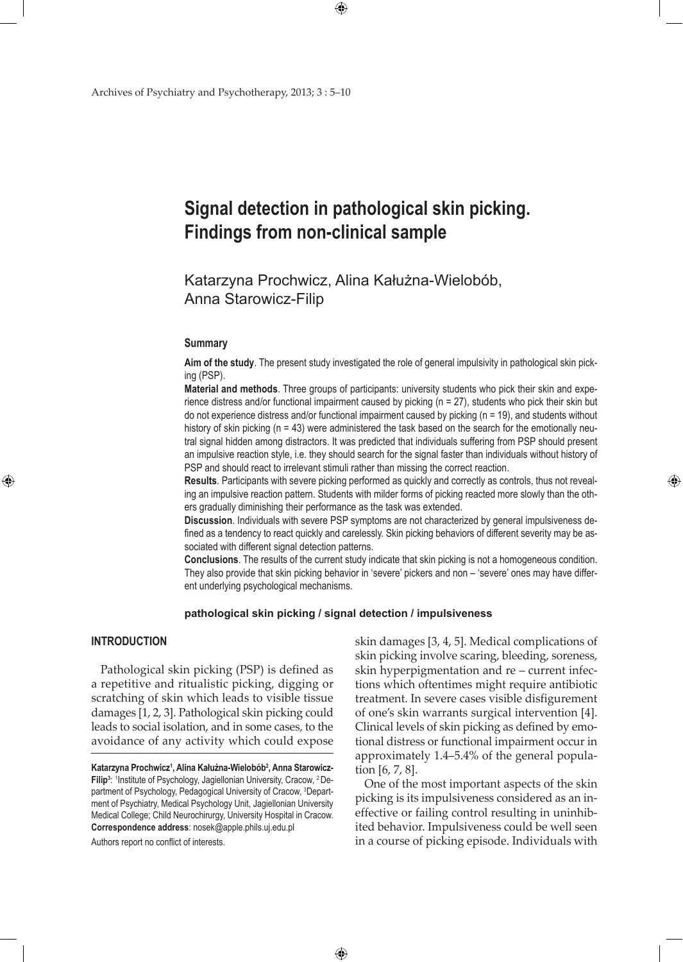# **Signal detection in pathological skin picking. Findings from non-clinical sample**

Katarzyna Prochwicz, Alina Kałużna-Wielobób, Anna Starowicz-Filip

 $\bigoplus$ 

#### **Summary**

**Aim of the study**. The present study investigated the role of general impulsivity in pathological skin picking (PSP).

**Material and methods**. Three groups of participants: university students who pick their skin and experience distress and/or functional impairment caused by picking (n = 27), students who pick their skin but do not experience distress and/or functional impairment caused by picking (n = 19), and students without history of skin picking (n = 43) were administered the task based on the search for the emotionally neutral signal hidden among distractors. It was predicted that individuals suffering from PSP should present an impulsive reaction style, i.e. they should search for the signal faster than individuals without history of PSP and should react to irrelevant stimuli rather than missing the correct reaction.

**Results**. Participants with severe picking performed as quickly and correctly as controls, thus not revealing an impulsive reaction pattern. Students with milder forms of picking reacted more slowly than the others gradually diminishing their performance as the task was extended.

**Discussion**. Individuals with severe PSP symptoms are not characterized by general impulsiveness defined as a tendency to react quickly and carelessly. Skin picking behaviors of different severity may be associated with different signal detection patterns.

**Conclusions**. The results of the current study indicate that skin picking is not a homogeneous condition. They also provide that skin picking behavior in 'severe' pickers and non – 'severe' ones may have different underlying psychological mechanisms.

## **pathological skin picking / signal detection / impulsiveness**

 $\bigoplus$ 

# **Introduction**

⊕

Pathological skin picking (PSP) is defined as a repetitive and ritualistic picking, digging or scratching of skin which leads to visible tissue damages [1, 2, 3]. Pathological skin picking could leads to social isolation, and in some cases, to the avoidance of any activity which could expose

Authors report no conflict of interests.

skin damages [3, 4, 5]. Medical complications of skin picking involve scaring, bleeding, soreness, skin hyperpigmentation and re – current infections which oftentimes might require antibiotic treatment. In severe cases visible disfigurement of one's skin warrants surgical intervention [4]. Clinical levels of skin picking as defined by emotional distress or functional impairment occur in approximately 1.4–5.4% of the general population [6, 7, 8].

⊕

One of the most important aspects of the skin picking is its impulsiveness considered as an ineffective or failing control resulting in uninhibited behavior. Impulsiveness could be well seen in a course of picking episode. Individuals with

**Katarzyna Prochwicz1 , Alina Kałużna-Wielobób<sup>2</sup> , Anna Starowicz-**Filip<sup>3</sup>: <sup>1</sup>Institute of Psychology, Jagiellonian University, Cracow, <sup>2</sup> Department of Psychology, Pedagogical University of Cracow, <sup>3</sup> Department of Psychiatry, Medical Psychology Unit, Jagiellonian University Medical College; Child Neurochirurgy, University Hospital in Cracow. **Correspondence address**: nosek@apple.phils.uj.edu.pl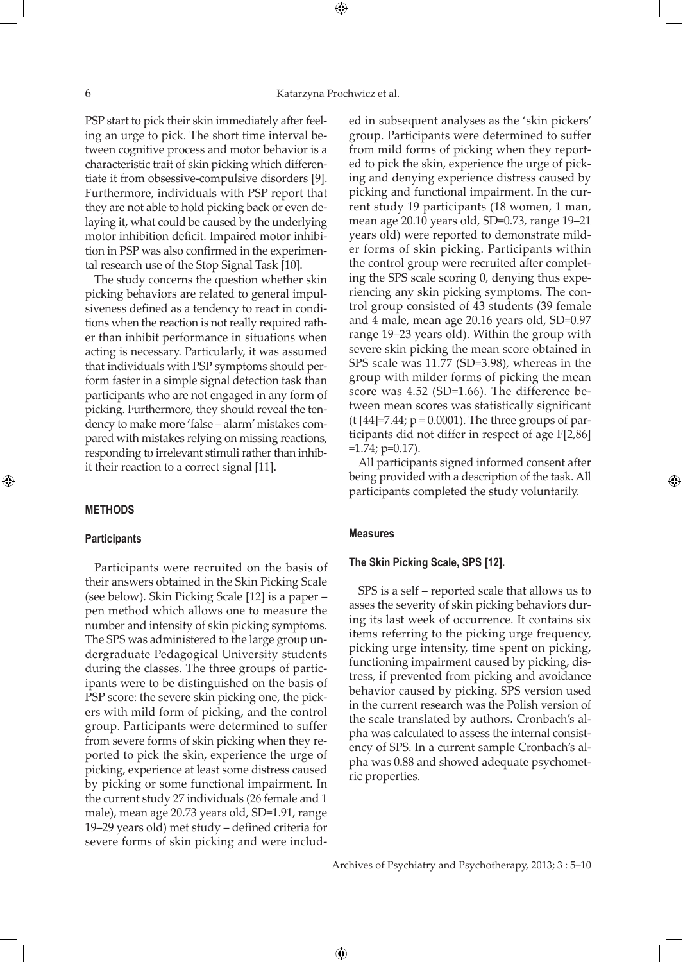⊕

PSP start to pick their skin immediately after feeling an urge to pick. The short time interval between cognitive process and motor behavior is a characteristic trait of skin picking which differentiate it from obsessive-compulsive disorders [9]. Furthermore, individuals with PSP report that they are not able to hold picking back or even delaying it, what could be caused by the underlying motor inhibition deficit. Impaired motor inhibition in PSP was also confirmed in the experimental research use of the Stop Signal Task [10].

The study concerns the question whether skin picking behaviors are related to general impulsiveness defined as a tendency to react in conditions when the reaction is not really required rather than inhibit performance in situations when acting is necessary. Particularly, it was assumed that individuals with PSP symptoms should perform faster in a simple signal detection task than participants who are not engaged in any form of picking. Furthermore, they should reveal the tendency to make more 'false – alarm' mistakes compared with mistakes relying on missing reactions, responding to irrelevant stimuli rather than inhibit their reaction to a correct signal [11].

### **Methods**

⊕

### **Participants**

Participants were recruited on the basis of their answers obtained in the Skin Picking Scale (see below). Skin Picking Scale [12] is a paper – pen method which allows one to measure the number and intensity of skin picking symptoms. The SPS was administered to the large group undergraduate Pedagogical University students during the classes. The three groups of participants were to be distinguished on the basis of PSP score: the severe skin picking one, the pickers with mild form of picking, and the control group. Participants were determined to suffer from severe forms of skin picking when they reported to pick the skin, experience the urge of picking, experience at least some distress caused by picking or some functional impairment. In the current study 27 individuals (26 female and 1 male), mean age 20.73 years old, SD=1.91, range 19–29 years old) met study – defined criteria for severe forms of skin picking and were included in subsequent analyses as the 'skin pickers' group. Participants were determined to suffer from mild forms of picking when they reported to pick the skin, experience the urge of picking and denying experience distress caused by picking and functional impairment. In the current study 19 participants (18 women, 1 man, mean age 20.10 years old, SD=0.73, range 19–21 years old) were reported to demonstrate milder forms of skin picking. Participants within the control group were recruited after completing the SPS scale scoring 0, denying thus experiencing any skin picking symptoms. The control group consisted of 43 students (39 female and 4 male, mean age 20.16 years old, SD=0.97 range 19–23 years old). Within the group with severe skin picking the mean score obtained in SPS scale was 11.77 (SD=3.98), whereas in the group with milder forms of picking the mean score was 4.52 (SD=1.66). The difference between mean scores was statistically significant  $(t [44] = 7.44; p = 0.0001)$ . The three groups of participants did not differ in respect of age F[2,86]  $=1.74$ ; p=0.17).

All participants signed informed consent after being provided with a description of the task. All participants completed the study voluntarily.

⊕

#### **Measures**

 $\bigoplus$ 

#### **The Skin Picking Scale, SPS [12].**

SPS is a self – reported scale that allows us to asses the severity of skin picking behaviors during its last week of occurrence. It contains six items referring to the picking urge frequency, picking urge intensity, time spent on picking, functioning impairment caused by picking, distress, if prevented from picking and avoidance behavior caused by picking. SPS version used in the current research was the Polish version of the scale translated by authors. Cronbach's alpha was calculated to assess the internal consistency of SPS. In a current sample Cronbach's alpha was 0.88 and showed adequate psychometric properties.

Archives of Psychiatry and Psychotherapy, 2013; 3 : 5–10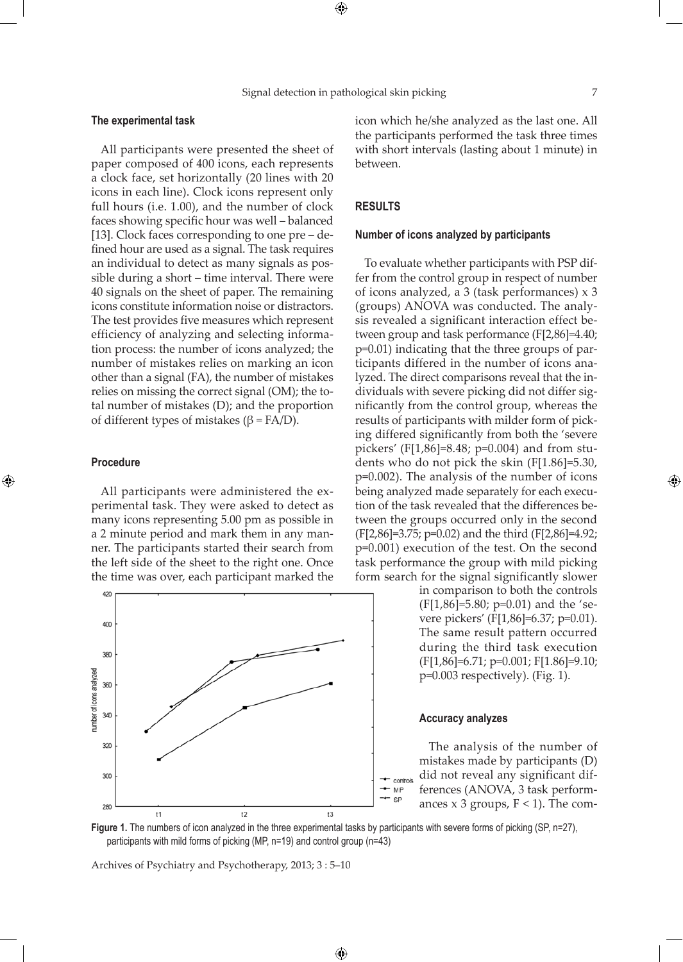$\bigoplus$ 

⊕

#### **The experimental task**

All participants were presented the sheet of paper composed of 400 icons, each represents a clock face, set horizontally (20 lines with 20 icons in each line). Clock icons represent only full hours (i.e. 1.00), and the number of clock faces showing specific hour was well – balanced [13]. Clock faces corresponding to one pre – defined hour are used as a signal. The task requires an individual to detect as many signals as possible during a short – time interval. There were 40 signals on the sheet of paper. The remaining icons constitute information noise or distractors. The test provides five measures which represent efficiency of analyzing and selecting information process: the number of icons analyzed; the number of mistakes relies on marking an icon other than a signal (FA), the number of mistakes relies on missing the correct signal (OM); the total number of mistakes (D); and the proportion of different types of mistakes ( $β = FA/D$ ).

### **Procedure**

⊕

All participants were administered the experimental task. They were asked to detect as many icons representing 5.00 pm as possible in a 2 minute period and mark them in any manner. The participants started their search from the left side of the sheet to the right one. Once the time was over, each participant marked the



icon which he/she analyzed as the last one. All the participants performed the task three times with short intervals (lasting about 1 minute) in between.

# **Results**

#### **Number of icons analyzed by participants**

To evaluate whether participants with PSP differ from the control group in respect of number of icons analyzed, a 3 (task performances) x 3 (groups) ANOVA was conducted. The analysis revealed a significant interaction effect between group and task performance (F[2,86]=4.40; p=0.01) indicating that the three groups of participants differed in the number of icons analyzed. The direct comparisons reveal that the individuals with severe picking did not differ significantly from the control group, whereas the results of participants with milder form of picking differed significantly from both the 'severe pickers' (F[1,86]=8.48; p=0.004) and from students who do not pick the skin (F[1.86]=5.30, p=0.002). The analysis of the number of icons being analyzed made separately for each execution of the task revealed that the differences between the groups occurred only in the second (F[2,86]=3.75; p=0.02) and the third (F[2,86]=4.92; p=0.001) execution of the test. On the second task performance the group with mild picking form search for the signal significantly slower

> in comparison to both the controls  $(F[1,86] = 5.80; p=0.01)$  and the 'severe pickers' (F[1,86]=6.37; p=0.01). The same result pattern occurred during the third task execution (F[1,86]=6.71; p=0.001; F[1.86]=9.10; p=0.003 respectively). (Fig. 1).

#### **Accuracy analyzes**

The analysis of the number of mistakes made by participants (D) did not reveal any significant dif- $\bullet$  controls ferences (ANOVA, 3 task performances  $x$  3 groups,  $F < 1$ ). The com-



 $\bigoplus$ 

SP

Archives of Psychiatry and Psychotherapy, 2013; 3 : 5–10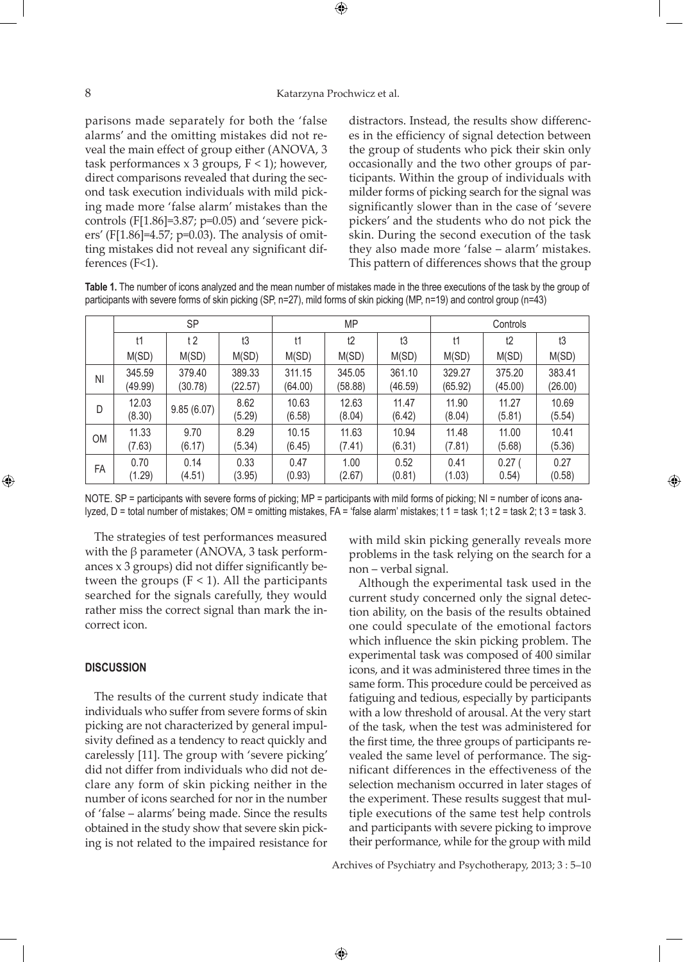## 8 Katarzyna Prochwicz et al.

⊕

parisons made separately for both the 'false alarms' and the omitting mistakes did not reveal the main effect of group either (ANOVA, 3 task performances x 3 groups,  $F < 1$ ); however, direct comparisons revealed that during the second task execution individuals with mild picking made more 'false alarm' mistakes than the controls (F $[1.86]$ =3.87; p=0.05) and 'severe pickers' (F[1.86]=4.57; p=0.03). The analysis of omitting mistakes did not reveal any significant differences (F<1).

distractors. Instead, the results show differences in the efficiency of signal detection between the group of students who pick their skin only occasionally and the two other groups of participants. Within the group of individuals with milder forms of picking search for the signal was significantly slower than in the case of 'severe pickers' and the students who do not pick the skin. During the second execution of the task they also made more 'false – alarm' mistakes. This pattern of differences shows that the group

**Table 1.** The number of icons analyzed and the mean number of mistakes made in the three executions of the task by the group of participants with severe forms of skin picking (SP, n=27), mild forms of skin picking (MP, n=19) and control group (n=43)

|           | <b>SP</b>         |                   |                   | <b>MP</b>         |                   |                   | Controls          |                   |                   |
|-----------|-------------------|-------------------|-------------------|-------------------|-------------------|-------------------|-------------------|-------------------|-------------------|
|           | t1                | t2                | t3                | t1                | t2                | t3                | t1                | t2                | t3                |
|           | M(SD)             | M(SD)             | M(SD)             | M(SD)             | M(SD)             | M(SD)             | M(SD)             | M(SD)             | M(SD)             |
| ΝI        | 345.59<br>(49.99) | 379.40<br>(30.78) | 389.33<br>(22.57) | 311.15<br>(64.00) | 345.05<br>(58.88) | 361.10<br>(46.59) | 329.27<br>(65.92) | 375.20<br>(45.00) | 383.41<br>(26.00) |
| D         | 12.03<br>(8.30)   | 9.85(6.07)        | 8.62<br>(5.29)    | 10.63<br>(6.58)   | 12.63<br>(8.04)   | 11.47<br>(6.42)   | 11.90<br>(8.04)   | 11.27<br>(5.81)   | 10.69<br>(5.54)   |
| <b>OM</b> | 11.33<br>(7.63)   | 9.70<br>(6.17)    | 8.29<br>(5.34)    | 10.15<br>(6.45)   | 11.63<br>(7.41)   | 10.94<br>(6.31)   | 11.48<br>(7.81)   | 11.00<br>(5.68)   | 10.41<br>(5.36)   |
| FA        | 0.70<br>(1.29)    | 0.14<br>(4.51)    | 0.33<br>(3.95)    | 0.47<br>(0.93)    | 1.00<br>(2.67)    | 0.52<br>(0.81)    | 0.41<br>(1.03)    | 0.27(<br>0.54)    | 0.27<br>(0.58)    |

NOTE. SP = participants with severe forms of picking;  $MP =$  participants with mild forms of picking; NI = number of icons analyzed, D = total number of mistakes; OM = omitting mistakes, FA = 'false alarm' mistakes; t 1 = task 1; t 2 = task 2; t 3 = task 3.

 $\bigoplus$ 

The strategies of test performances measured with the  $β$  parameter (ANOVA, 3 task performances x 3 groups) did not differ significantly between the groups  $(F < 1)$ . All the participants searched for the signals carefully, they would rather miss the correct signal than mark the incorrect icon.

## **Discussion**

⊕

The results of the current study indicate that individuals who suffer from severe forms of skin picking are not characterized by general impulsivity defined as a tendency to react quickly and carelessly [11]. The group with 'severe picking' did not differ from individuals who did not declare any form of skin picking neither in the number of icons searched for nor in the number of 'false – alarms' being made. Since the results obtained in the study show that severe skin picking is not related to the impaired resistance for

with mild skin picking generally reveals more problems in the task relying on the search for a non – verbal signal.

Although the experimental task used in the current study concerned only the signal detection ability, on the basis of the results obtained one could speculate of the emotional factors which influence the skin picking problem. The experimental task was composed of 400 similar icons, and it was administered three times in the same form. This procedure could be perceived as fatiguing and tedious, especially by participants with a low threshold of arousal. At the very start of the task, when the test was administered for the first time, the three groups of participants revealed the same level of performance. The significant differences in the effectiveness of the selection mechanism occurred in later stages of the experiment. These results suggest that multiple executions of the same test help controls and participants with severe picking to improve their performance, while for the group with mild

Archives of Psychiatry and Psychotherapy, 2013; 3 : 5–10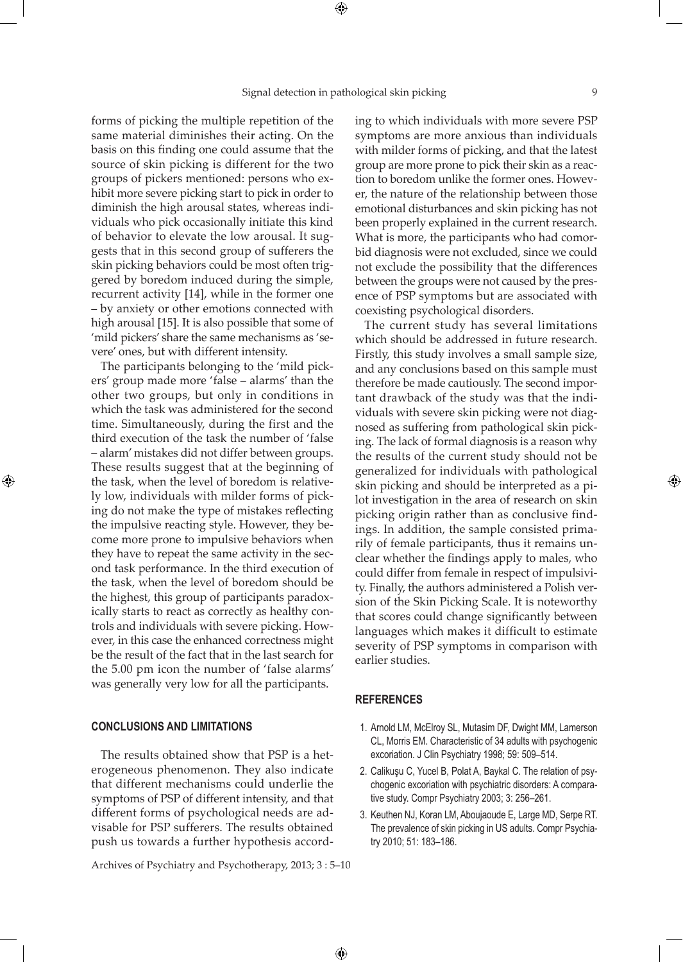⊕

⊕

forms of picking the multiple repetition of the same material diminishes their acting. On the basis on this finding one could assume that the source of skin picking is different for the two groups of pickers mentioned: persons who exhibit more severe picking start to pick in order to diminish the high arousal states, whereas individuals who pick occasionally initiate this kind of behavior to elevate the low arousal. It suggests that in this second group of sufferers the skin picking behaviors could be most often triggered by boredom induced during the simple, recurrent activity [14], while in the former one – by anxiety or other emotions connected with high arousal [15]. It is also possible that some of 'mild pickers' share the same mechanisms as 'severe' ones, but with different intensity.

The participants belonging to the 'mild pickers' group made more 'false – alarms' than the other two groups, but only in conditions in which the task was administered for the second time. Simultaneously, during the first and the third execution of the task the number of 'false – alarm' mistakes did not differ between groups. These results suggest that at the beginning of the task, when the level of boredom is relatively low, individuals with milder forms of picking do not make the type of mistakes reflecting the impulsive reacting style. However, they become more prone to impulsive behaviors when they have to repeat the same activity in the second task performance. In the third execution of the task, when the level of boredom should be the highest, this group of participants paradoxically starts to react as correctly as healthy controls and individuals with severe picking. However, in this case the enhanced correctness might be the result of the fact that in the last search for the 5.00 pm icon the number of 'false alarms' was generally very low for all the participants.

## **Conclusions and limitations**

⊕

The results obtained show that PSP is a heterogeneous phenomenon. They also indicate that different mechanisms could underlie the symptoms of PSP of different intensity, and that different forms of psychological needs are advisable for PSP sufferers. The results obtained push us towards a further hypothesis accord-

Archives of Psychiatry and Psychotherapy, 2013; 3 : 5–10

ing to which individuals with more severe PSP symptoms are more anxious than individuals with milder forms of picking, and that the latest group are more prone to pick their skin as a reaction to boredom unlike the former ones. However, the nature of the relationship between those emotional disturbances and skin picking has not been properly explained in the current research. What is more, the participants who had comorbid diagnosis were not excluded, since we could not exclude the possibility that the differences between the groups were not caused by the presence of PSP symptoms but are associated with coexisting psychological disorders.

The current study has several limitations which should be addressed in future research. Firstly, this study involves a small sample size, and any conclusions based on this sample must therefore be made cautiously. The second important drawback of the study was that the individuals with severe skin picking were not diagnosed as suffering from pathological skin picking. The lack of formal diagnosis is a reason why the results of the current study should not be generalized for individuals with pathological skin picking and should be interpreted as a pilot investigation in the area of research on skin picking origin rather than as conclusive findings. In addition, the sample consisted primarily of female participants, thus it remains unclear whether the findings apply to males, who could differ from female in respect of impulsivity. Finally, the authors administered a Polish version of the Skin Picking Scale. It is noteworthy that scores could change significantly between languages which makes it difficult to estimate severity of PSP symptoms in comparison with earlier studies.

## **References**

 $\bigoplus$ 

- 1. Arnold LM, McElroy SL, Mutasim DF, Dwight MM, Lamerson CL, Morris EM. Characteristic of 34 adults with psychogenic excoriation. J Clin Psychiatry 1998; 59: 509–514.
- 2. Calikuşu C, Yucel B, Polat A, Baykal C. The relation of psychogenic excoriation with psychiatric disorders: A comparative study. Compr Psychiatry 2003; 3: 256–261.
- 3. Keuthen NJ, Koran LM, Aboujaoude E, Large MD, Serpe RT. The prevalence of skin picking in US adults. Compr Psychiatry 2010; 51: 183–186.